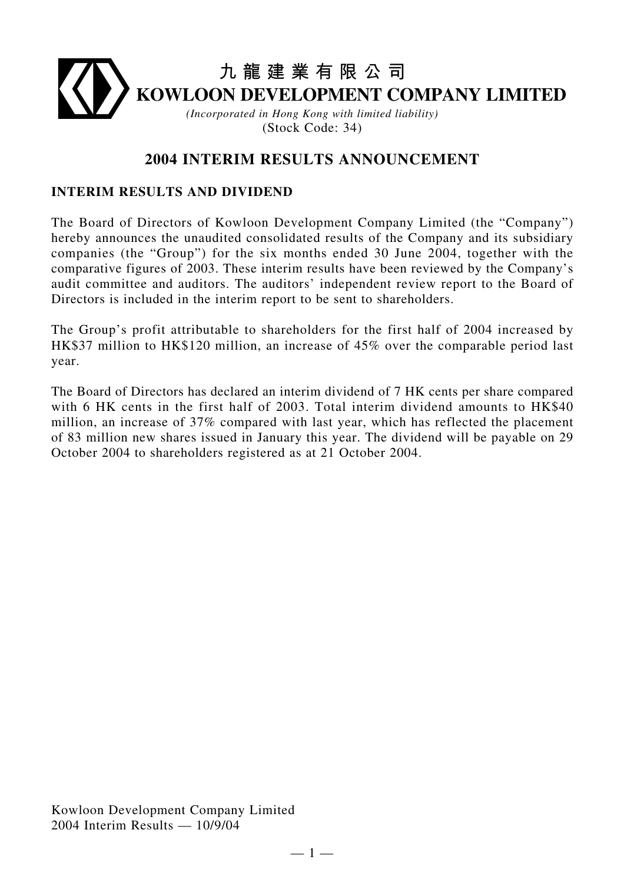# **九龍建業有限公司 KOWLOON DEVELOPMENT COMPANY LIMITED** *(Incorporated in Hong Kong with limited liability)* (Stock Code: 34)

# **2004 INTERIM RESULTS ANNOUNCEMENT**

## **INTERIM RESULTS AND DIVIDEND**

The Board of Directors of Kowloon Development Company Limited (the "Company") hereby announces the unaudited consolidated results of the Company and its subsidiary companies (the "Group") for the six months ended 30 June 2004, together with the comparative figures of 2003. These interim results have been reviewed by the Company's audit committee and auditors. The auditors' independent review report to the Board of Directors is included in the interim report to be sent to shareholders.

The Group's profit attributable to shareholders for the first half of 2004 increased by HK\$37 million to HK\$120 million, an increase of 45% over the comparable period last year.

The Board of Directors has declared an interim dividend of 7 HK cents per share compared with 6 HK cents in the first half of 2003. Total interim dividend amounts to HK\$40 million, an increase of 37% compared with last year, which has reflected the placement of 83 million new shares issued in January this year. The dividend will be payable on 29 October 2004 to shareholders registered as at 21 October 2004.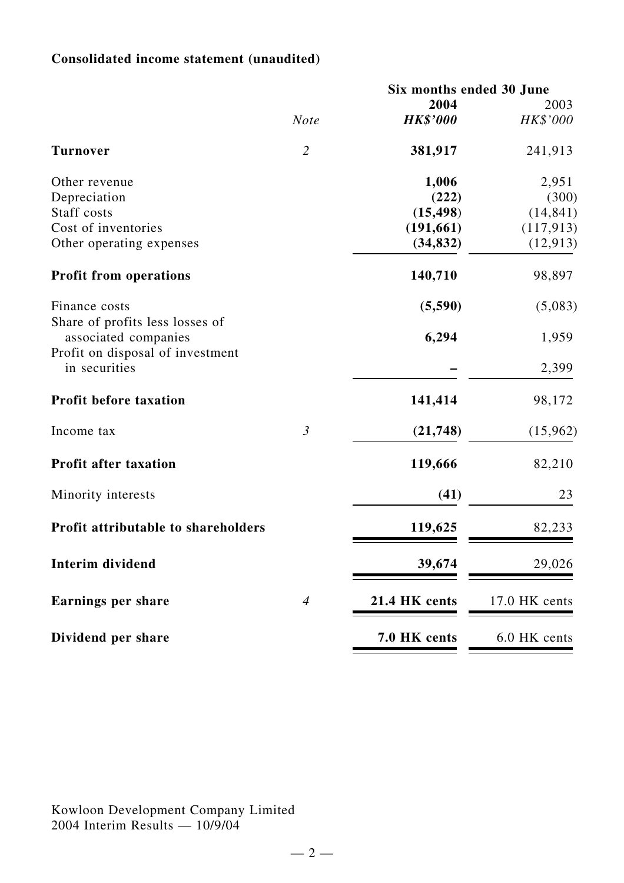# **Consolidated income statement (unaudited)**

|                                                         |                | Six months ended 30 June |               |  |
|---------------------------------------------------------|----------------|--------------------------|---------------|--|
|                                                         |                | 2004                     | 2003          |  |
|                                                         | <b>Note</b>    | <b>HK\$'000</b>          | HK\$'000      |  |
| <b>Turnover</b>                                         | $\overline{2}$ | 381,917                  | 241,913       |  |
| Other revenue                                           |                | 1,006                    | 2,951         |  |
| Depreciation                                            |                | (222)                    | (300)         |  |
| Staff costs                                             |                | (15, 498)                | (14, 841)     |  |
| Cost of inventories                                     |                | (191, 661)               | (117, 913)    |  |
| Other operating expenses                                |                | (34, 832)                | (12, 913)     |  |
| <b>Profit from operations</b>                           |                | 140,710                  | 98,897        |  |
| Finance costs                                           |                | (5,590)                  | (5,083)       |  |
| Share of profits less losses of<br>associated companies |                | 6,294                    | 1,959         |  |
| Profit on disposal of investment<br>in securities       |                |                          | 2,399         |  |
| <b>Profit before taxation</b>                           |                | 141,414                  | 98,172        |  |
| Income tax                                              | $\mathfrak{Z}$ | (21, 748)                | (15,962)      |  |
| <b>Profit after taxation</b>                            |                | 119,666                  | 82,210        |  |
| Minority interests                                      |                | (41)                     | 23            |  |
| Profit attributable to shareholders                     |                | 119,625                  | 82,233        |  |
| <b>Interim dividend</b>                                 |                | 39,674                   | 29,026        |  |
| Earnings per share                                      | $\overline{4}$ | 21.4 HK cents            | 17.0 HK cents |  |
| Dividend per share                                      |                | 7.0 HK cents             | 6.0 HK cents  |  |
|                                                         |                |                          |               |  |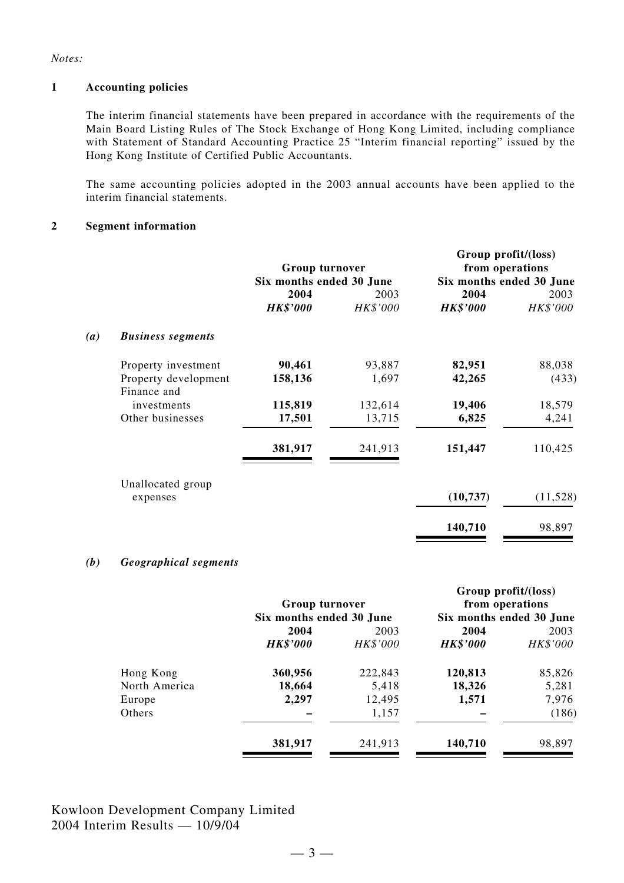*Notes:*

#### **1 Accounting policies**

The interim financial statements have been prepared in accordance with the requirements of the Main Board Listing Rules of The Stock Exchange of Hong Kong Limited, including compliance with Statement of Standard Accounting Practice 25 "Interim financial reporting" issued by the Hong Kong Institute of Certified Public Accountants.

The same accounting policies adopted in the 2003 annual accounts have been applied to the interim financial statements.

#### **2 Segment information**

|     |                          | Group turnover<br>Six months ended 30 June |          | Group profit/(loss)<br>from operations<br>Six months ended 30 June |          |
|-----|--------------------------|--------------------------------------------|----------|--------------------------------------------------------------------|----------|
|     |                          | 2004                                       | 2003     | 2004                                                               | 2003     |
|     |                          | <b>HK\$'000</b>                            | HK\$'000 | <b>HK\$'000</b>                                                    | HK\$'000 |
| (a) | <b>Business segments</b> |                                            |          |                                                                    |          |
|     | Property investment      | 90,461                                     | 93,887   | 82,951                                                             | 88,038   |
|     | Property development     | 158,136                                    | 1,697    | 42,265                                                             | (433)    |
|     | Finance and              |                                            |          |                                                                    |          |
|     | investments              | 115,819                                    | 132,614  | 19,406                                                             | 18,579   |
|     | Other businesses         | 17,501                                     | 13,715   | 6,825                                                              | 4,241    |
|     |                          | 381,917                                    | 241,913  | 151,447                                                            | 110,425  |
|     | Unallocated group        |                                            |          |                                                                    |          |
|     | expenses                 |                                            |          | (10, 737)                                                          | (11,528) |
|     |                          |                                            |          | 140,710                                                            | 98,897   |

#### *(b) Geographical segments*

| Group turnover  |          | Group profit/(loss)<br>from operations<br>Six months ended 30 June |          |
|-----------------|----------|--------------------------------------------------------------------|----------|
| 2004            | 2003     | 2004                                                               | 2003     |
| <b>HK\$'000</b> | HK\$'000 | <b>HK\$'000</b>                                                    | HK\$'000 |
| 360,956         | 222,843  | 120,813                                                            | 85,826   |
| 18,664          | 5,418    | 18,326                                                             | 5,281    |
| 2,297           | 12,495   | 1,571                                                              | 7,976    |
|                 | 1,157    |                                                                    | (186)    |
| 381,917         | 241,913  | 140,710                                                            | 98,897   |
|                 |          | Six months ended 30 June                                           |          |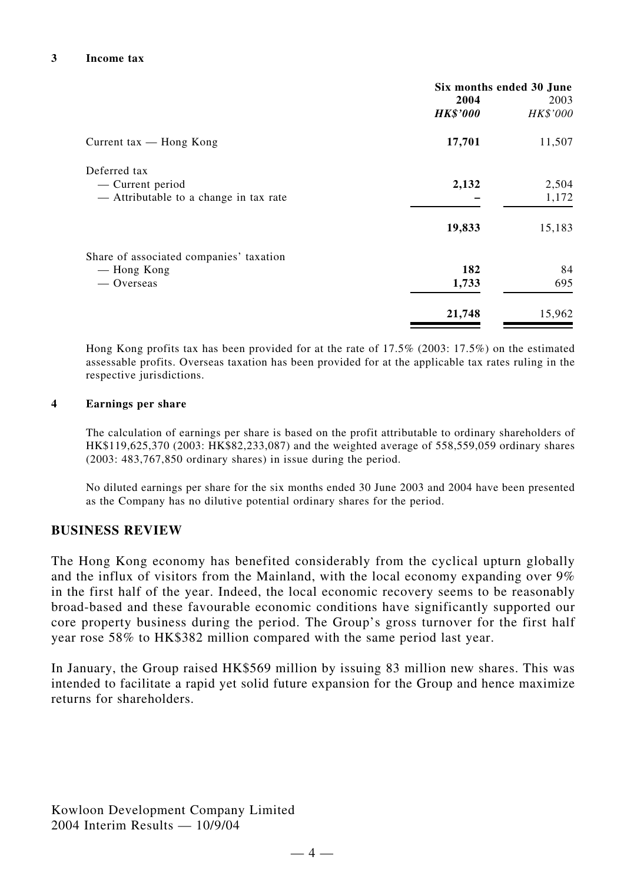|                                                                            | Six months ended 30 June<br>2004<br>2003<br><b>HK\$'000</b><br>HK\$'000 |                |
|----------------------------------------------------------------------------|-------------------------------------------------------------------------|----------------|
| Current tax $-$ Hong Kong                                                  | 17,701                                                                  | 11,507         |
| Deferred tax<br>— Current period<br>- Attributable to a change in tax rate | 2,132                                                                   | 2,504<br>1,172 |
|                                                                            | 19,833                                                                  | 15,183         |
| Share of associated companies' taxation<br>— Hong Kong<br>— Overseas       | 182<br>1,733                                                            | 84<br>695      |
|                                                                            | 21,748                                                                  | 15,962         |

Hong Kong profits tax has been provided for at the rate of 17.5% (2003: 17.5%) on the estimated assessable profits. Overseas taxation has been provided for at the applicable tax rates ruling in the respective jurisdictions.

#### **4 Earnings per share**

The calculation of earnings per share is based on the profit attributable to ordinary shareholders of HK\$119,625,370 (2003: HK\$82,233,087) and the weighted average of 558,559,059 ordinary shares (2003: 483,767,850 ordinary shares) in issue during the period.

No diluted earnings per share for the six months ended 30 June 2003 and 2004 have been presented as the Company has no dilutive potential ordinary shares for the period.

#### **BUSINESS REVIEW**

The Hong Kong economy has benefited considerably from the cyclical upturn globally and the influx of visitors from the Mainland, with the local economy expanding over 9% in the first half of the year. Indeed, the local economic recovery seems to be reasonably broad-based and these favourable economic conditions have significantly supported our core property business during the period. The Group's gross turnover for the first half year rose 58% to HK\$382 million compared with the same period last year.

In January, the Group raised HK\$569 million by issuing 83 million new shares. This was intended to facilitate a rapid yet solid future expansion for the Group and hence maximize returns for shareholders.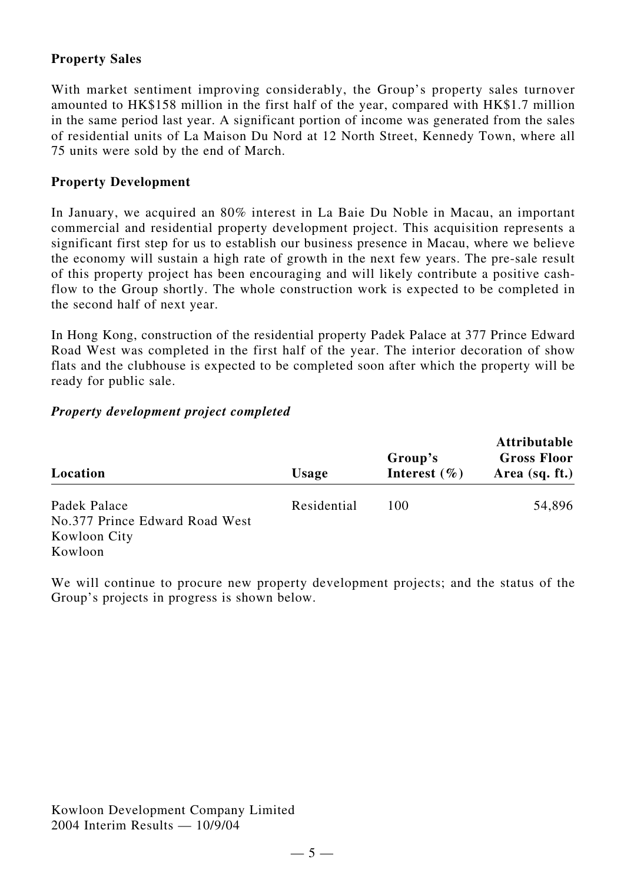# **Property Sales**

With market sentiment improving considerably, the Group's property sales turnover amounted to HK\$158 million in the first half of the year, compared with HK\$1.7 million in the same period last year. A significant portion of income was generated from the sales of residential units of La Maison Du Nord at 12 North Street, Kennedy Town, where all 75 units were sold by the end of March.

### **Property Development**

In January, we acquired an 80% interest in La Baie Du Noble in Macau, an important commercial and residential property development project. This acquisition represents a significant first step for us to establish our business presence in Macau, where we believe the economy will sustain a high rate of growth in the next few years. The pre-sale result of this property project has been encouraging and will likely contribute a positive cashflow to the Group shortly. The whole construction work is expected to be completed in the second half of next year.

In Hong Kong, construction of the residential property Padek Palace at 377 Prince Edward Road West was completed in the first half of the year. The interior decoration of show flats and the clubhouse is expected to be completed soon after which the property will be ready for public sale.

#### *Property development project completed*

| Location                       | <b>Usage</b> | Group's<br>Interest $(\% )$ | <b>Attributable</b><br><b>Gross Floor</b><br>Area $(sq. ft.)$ |
|--------------------------------|--------------|-----------------------------|---------------------------------------------------------------|
| Padek Palace                   | Residential  | 100                         | 54,896                                                        |
| No.377 Prince Edward Road West |              |                             |                                                               |
| Kowloon City                   |              |                             |                                                               |
| Kowloon                        |              |                             |                                                               |

We will continue to procure new property development projects; and the status of the Group's projects in progress is shown below.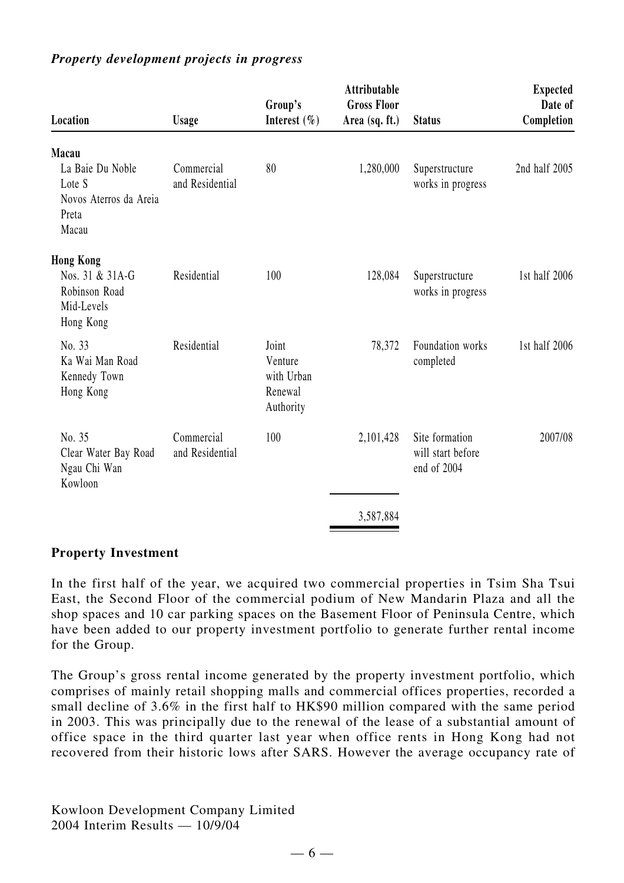| Location                                                               | <b>Usage</b>                  | Group's<br>Interest $(\% )$                            | Attributable<br><b>Gross Floor</b><br>Area (sq. ft.) | <b>Status</b>                                      | <b>Expected</b><br>Date of<br>Completion |
|------------------------------------------------------------------------|-------------------------------|--------------------------------------------------------|------------------------------------------------------|----------------------------------------------------|------------------------------------------|
| Macau                                                                  |                               |                                                        |                                                      |                                                    |                                          |
| La Baie Du Noble<br>Lote S<br>Novos Aterros da Areia<br>Preta<br>Macau | Commercial<br>and Residential | 80                                                     | 1,280,000                                            | Superstructure<br>works in progress                | 2nd half 2005                            |
| <b>Hong Kong</b>                                                       |                               |                                                        |                                                      |                                                    |                                          |
| Nos. 31 & 31A-G<br>Robinson Road<br>Mid-Levels<br>Hong Kong            | Residential                   | 100                                                    | 128,084                                              | Superstructure<br>works in progress                | 1st half 2006                            |
| No. 33<br>Ka Wai Man Road<br>Kennedy Town<br>Hong Kong                 | Residential                   | Joint<br>Venture<br>with Urban<br>Renewal<br>Authority | 78,372                                               | Foundation works<br>completed                      | 1st half 2006                            |
| No. 35<br>Clear Water Bay Road<br>Ngau Chi Wan<br>Kowloon              | Commercial<br>and Residential | 100                                                    | 2,101,428                                            | Site formation<br>will start before<br>end of 2004 | 2007/08                                  |
|                                                                        |                               |                                                        | 3,587,884                                            |                                                    |                                          |

# *Property development projects in progress*

#### **Property Investment**

In the first half of the year, we acquired two commercial properties in Tsim Sha Tsui East, the Second Floor of the commercial podium of New Mandarin Plaza and all the shop spaces and 10 car parking spaces on the Basement Floor of Peninsula Centre, which have been added to our property investment portfolio to generate further rental income for the Group.

The Group's gross rental income generated by the property investment portfolio, which comprises of mainly retail shopping malls and commercial offices properties, recorded a small decline of 3.6% in the first half to HK\$90 million compared with the same period in 2003. This was principally due to the renewal of the lease of a substantial amount of office space in the third quarter last year when office rents in Hong Kong had not recovered from their historic lows after SARS. However the average occupancy rate of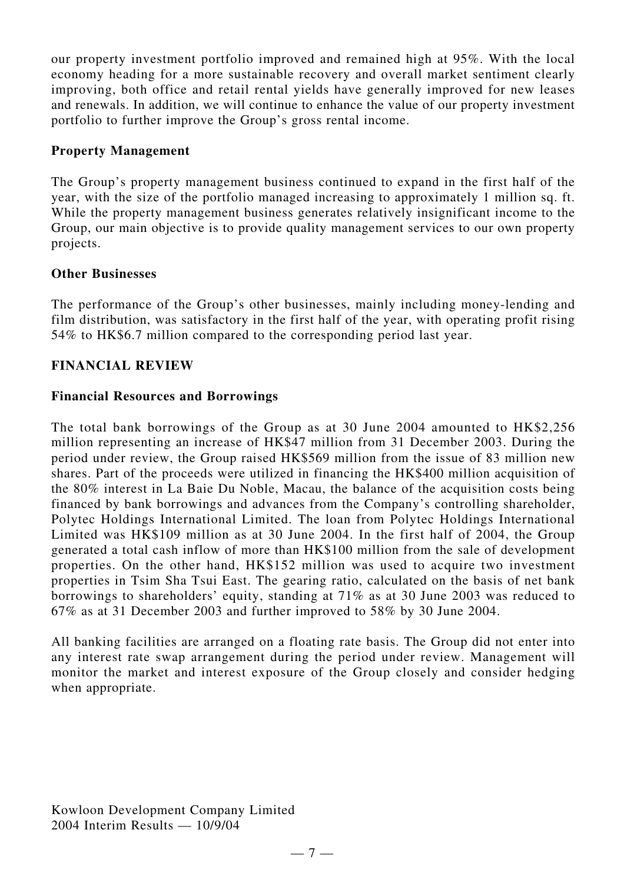our property investment portfolio improved and remained high at 95%. With the local economy heading for a more sustainable recovery and overall market sentiment clearly improving, both office and retail rental yields have generally improved for new leases and renewals. In addition, we will continue to enhance the value of our property investment portfolio to further improve the Group's gross rental income.

# **Property Management**

The Group's property management business continued to expand in the first half of the year, with the size of the portfolio managed increasing to approximately 1 million sq. ft. While the property management business generates relatively insignificant income to the Group, our main objective is to provide quality management services to our own property projects.

# **Other Businesses**

The performance of the Group's other businesses, mainly including money-lending and film distribution, was satisfactory in the first half of the year, with operating profit rising 54% to HK\$6.7 million compared to the corresponding period last year.

# **FINANCIAL REVIEW**

# **Financial Resources and Borrowings**

The total bank borrowings of the Group as at 30 June 2004 amounted to HK\$2,256 million representing an increase of HK\$47 million from 31 December 2003. During the period under review, the Group raised HK\$569 million from the issue of 83 million new shares. Part of the proceeds were utilized in financing the HK\$400 million acquisition of the 80% interest in La Baie Du Noble, Macau, the balance of the acquisition costs being financed by bank borrowings and advances from the Company's controlling shareholder, Polytec Holdings International Limited. The loan from Polytec Holdings International Limited was HK\$109 million as at 30 June 2004. In the first half of 2004, the Group generated a total cash inflow of more than HK\$100 million from the sale of development properties. On the other hand, HK\$152 million was used to acquire two investment properties in Tsim Sha Tsui East. The gearing ratio, calculated on the basis of net bank borrowings to shareholders' equity, standing at 71% as at 30 June 2003 was reduced to 67% as at 31 December 2003 and further improved to 58% by 30 June 2004.

All banking facilities are arranged on a floating rate basis. The Group did not enter into any interest rate swap arrangement during the period under review. Management will monitor the market and interest exposure of the Group closely and consider hedging when appropriate.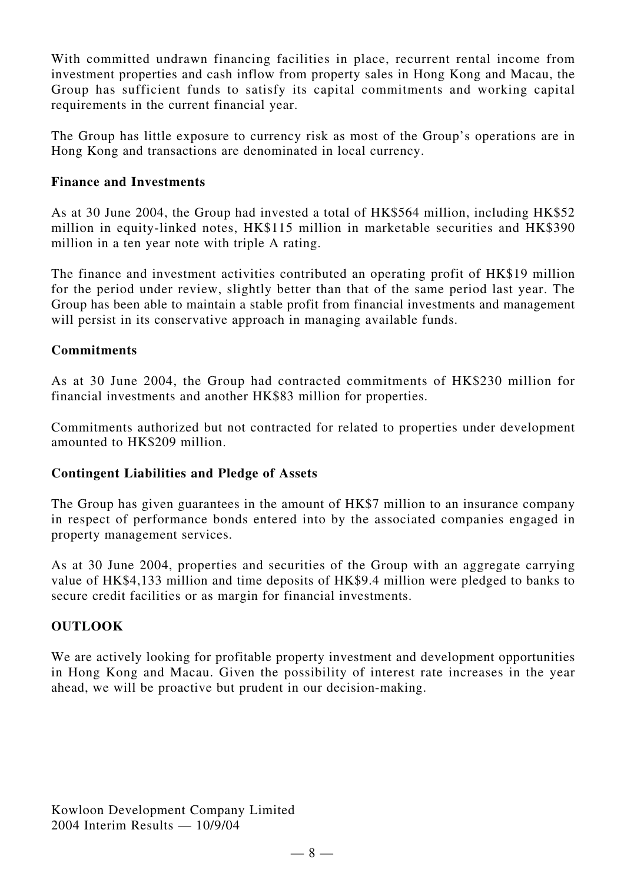With committed undrawn financing facilities in place, recurrent rental income from investment properties and cash inflow from property sales in Hong Kong and Macau, the Group has sufficient funds to satisfy its capital commitments and working capital requirements in the current financial year.

The Group has little exposure to currency risk as most of the Group's operations are in Hong Kong and transactions are denominated in local currency.

# **Finance and Investments**

As at 30 June 2004, the Group had invested a total of HK\$564 million, including HK\$52 million in equity-linked notes, HK\$115 million in marketable securities and HK\$390 million in a ten year note with triple A rating.

The finance and investment activities contributed an operating profit of HK\$19 million for the period under review, slightly better than that of the same period last year. The Group has been able to maintain a stable profit from financial investments and management will persist in its conservative approach in managing available funds.

# **Commitments**

As at 30 June 2004, the Group had contracted commitments of HK\$230 million for financial investments and another HK\$83 million for properties.

Commitments authorized but not contracted for related to properties under development amounted to HK\$209 million.

# **Contingent Liabilities and Pledge of Assets**

The Group has given guarantees in the amount of HK\$7 million to an insurance company in respect of performance bonds entered into by the associated companies engaged in property management services.

As at 30 June 2004, properties and securities of the Group with an aggregate carrying value of HK\$4,133 million and time deposits of HK\$9.4 million were pledged to banks to secure credit facilities or as margin for financial investments.

# **OUTLOOK**

We are actively looking for profitable property investment and development opportunities in Hong Kong and Macau. Given the possibility of interest rate increases in the year ahead, we will be proactive but prudent in our decision-making.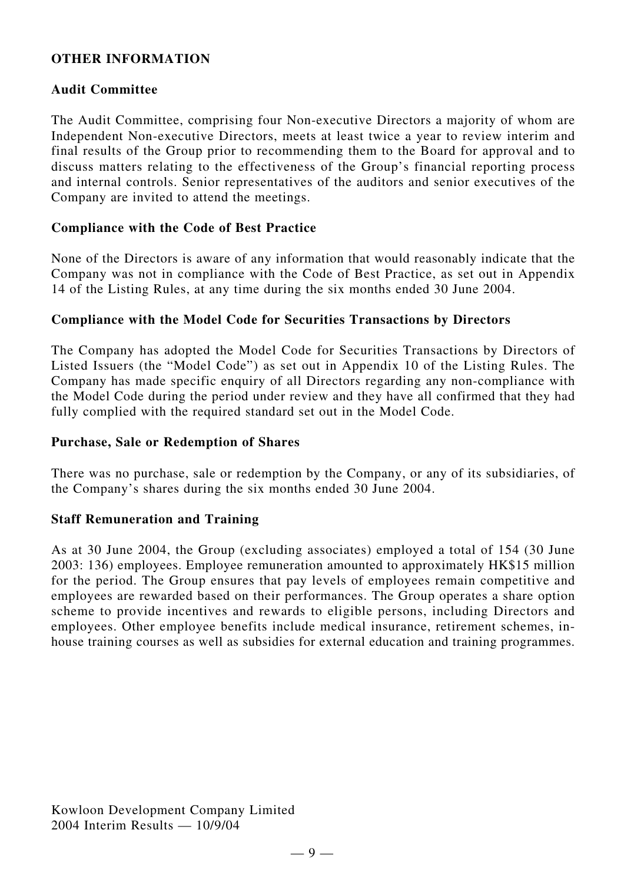# **OTHER INFORMATION**

## **Audit Committee**

The Audit Committee, comprising four Non-executive Directors a majority of whom are Independent Non-executive Directors, meets at least twice a year to review interim and final results of the Group prior to recommending them to the Board for approval and to discuss matters relating to the effectiveness of the Group's financial reporting process and internal controls. Senior representatives of the auditors and senior executives of the Company are invited to attend the meetings.

### **Compliance with the Code of Best Practice**

None of the Directors is aware of any information that would reasonably indicate that the Company was not in compliance with the Code of Best Practice, as set out in Appendix 14 of the Listing Rules, at any time during the six months ended 30 June 2004.

### **Compliance with the Model Code for Securities Transactions by Directors**

The Company has adopted the Model Code for Securities Transactions by Directors of Listed Issuers (the "Model Code") as set out in Appendix 10 of the Listing Rules. The Company has made specific enquiry of all Directors regarding any non-compliance with the Model Code during the period under review and they have all confirmed that they had fully complied with the required standard set out in the Model Code.

#### **Purchase, Sale or Redemption of Shares**

There was no purchase, sale or redemption by the Company, or any of its subsidiaries, of the Company's shares during the six months ended 30 June 2004.

#### **Staff Remuneration and Training**

As at 30 June 2004, the Group (excluding associates) employed a total of 154 (30 June 2003: 136) employees. Employee remuneration amounted to approximately HK\$15 million for the period. The Group ensures that pay levels of employees remain competitive and employees are rewarded based on their performances. The Group operates a share option scheme to provide incentives and rewards to eligible persons, including Directors and employees. Other employee benefits include medical insurance, retirement schemes, inhouse training courses as well as subsidies for external education and training programmes.